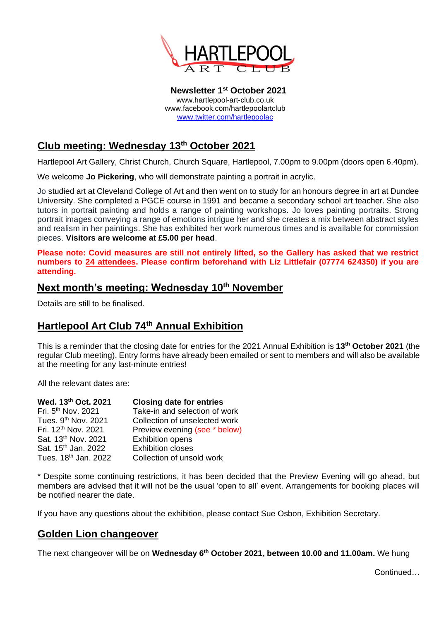

**Newsletter 1 st October 2021** www.hartlepool-art-club.co.uk www.facebook.com/hartlepoolartclub [www.twitter.com/hartlepoolac](http://www.twitter.com/hartlepoolac)

# **Club meeting: Wednesday 13th October 2021**

Hartlepool Art Gallery, Christ Church, Church Square, Hartlepool, 7.00pm to 9.00pm (doors open 6.40pm).

We welcome **Jo Pickering**, who will demonstrate painting a portrait in acrylic.

Jo studied art at Cleveland College of Art and then went on to study for an honours degree in art at Dundee University. She completed a PGCE course in 1991 and became a secondary school art teacher. She also tutors in portrait painting and holds a range of painting workshops. Jo loves painting portraits. Strong portrait images conveying a range of emotions intrigue her and she creates a mix between abstract styles and realism in her paintings. She has exhibited her work numerous times and is available for commission pieces. **Visitors are welcome at £5.00 per head**.

**Please note: Covid measures are still not entirely lifted, so the Gallery has asked that we restrict numbers to 24 attendees. Please confirm beforehand with Liz Littlefair (07774 624350) if you are attending.**

## **Next month's meeting: Wednesday 10th November**

Details are still to be finalised.

### **Hartlepool Art Club 74th Annual Exhibition**

This is a reminder that the closing date for entries for the 2021 Annual Exhibition is **13th October 2021** (the regular Club meeting). Entry forms have already been emailed or sent to members and will also be available at the meeting for any last-minute entries!

All the relevant dates are:

| Wed. 13th Oct. 2021              | <b>Closing date for entries</b> |
|----------------------------------|---------------------------------|
| Fri. 5 <sup>th</sup> Nov. 2021   | Take-in and selection of work   |
| Tues. 9th Nov. 2021              | Collection of unselected work   |
| Fri. 12 <sup>th</sup> Nov. 2021  | Preview evening (see * below)   |
| Sat. 13th Nov. 2021              | <b>Exhibition opens</b>         |
| Sat. 15 <sup>th</sup> Jan. 2022  | <b>Exhibition closes</b>        |
| Tues. 18 <sup>th</sup> Jan. 2022 | Collection of unsold work       |

\* Despite some continuing restrictions, it has been decided that the Preview Evening will go ahead, but members are advised that it will not be the usual 'open to all' event. Arrangements for booking places will be notified nearer the date.

If you have any questions about the exhibition, please contact Sue Osbon, Exhibition Secretary.

### **Golden Lion changeover**

The next changeover will be on **Wednesday 6th October 2021, between 10.00 and 11.00am.** We hung

Continued…